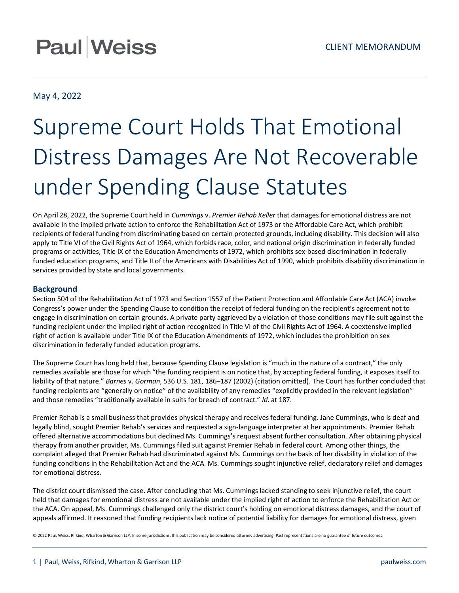## **Paul Weiss**

### May 4, 2022

# Supreme Court Holds That Emotional Distress Damages Are Not Recoverable under Spending Clause Statutes

On April 28, 2022, the Supreme Court held in *Cummings* v. *Premier Rehab Keller* that damages for emotional distress are not available in the implied private action to enforce the Rehabilitation Act of 1973 or the Affordable Care Act, which prohibit recipients of federal funding from discriminating based on certain protected grounds, including disability. This decision will also apply to Title VI of the Civil Rights Act of 1964, which forbids race, color, and national origin discrimination in federally funded programs or activities, Title IX of the Education Amendments of 1972, which prohibits sex-based discrimination in federally funded education programs, and Title II of the Americans with Disabilities Act of 1990, which prohibits disability discrimination in services provided by state and local governments.

#### **Background**

Section 504 of the Rehabilitation Act of 1973 and Section 1557 of the Patient Protection and Affordable Care Act (ACA) invoke Congress's power under the Spending Clause to condition the receipt of federal funding on the recipient's agreement not to engage in discrimination on certain grounds. A private party aggrieved by a violation of those conditions may file suit against the funding recipient under the implied right of action recognized in Title VI of the Civil Rights Act of 1964. A coextensive implied right of action is available under Title IX of the Education Amendments of 1972, which includes the prohibition on sex discrimination in federally funded education programs.

The Supreme Court has long held that, because Spending Clause legislation is "much in the nature of a contract," the only remedies available are those for which "the funding recipient is on notice that, by accepting federal funding, it exposes itself to liability of that nature." *Barnes* v. *Gorman*, 536 U.S. 181, 186–187 (2002) (citation omitted). The Court has further concluded that funding recipients are "generally on notice" of the availability of any remedies "explicitly provided in the relevant legislation" and those remedies "traditionally available in suits for breach of contract." *Id*. at 187.

Premier Rehab is a small business that provides physical therapy and receives federal funding. Jane Cummings, who is deaf and legally blind, sought Premier Rehab's services and requested a sign-language interpreter at her appointments. Premier Rehab offered alternative accommodations but declined Ms. Cummings's request absent further consultation. After obtaining physical therapy from another provider, Ms. Cummings filed suit against Premier Rehab in federal court. Among other things, the complaint alleged that Premier Rehab had discriminated against Ms. Cummings on the basis of her disability in violation of the funding conditions in the Rehabilitation Act and the ACA. Ms. Cummings sought injunctive relief, declaratory relief and damages for emotional distress.

The district court dismissed the case. After concluding that Ms. Cummings lacked standing to seek injunctive relief, the court held that damages for emotional distress are not available under the implied right of action to enforce the Rehabilitation Act or the ACA. On appeal, Ms. Cummings challenged only the district court's holding on emotional distress damages, and the court of appeals affirmed. It reasoned that funding recipients lack notice of potential liability for damages for emotional distress, given

© 2022 Paul, Weiss, Rifkind, Wharton & Garrison LLP. In some jurisdictions, this publication may be considered attorney advertising. Past representations are no guarantee of future outcomes.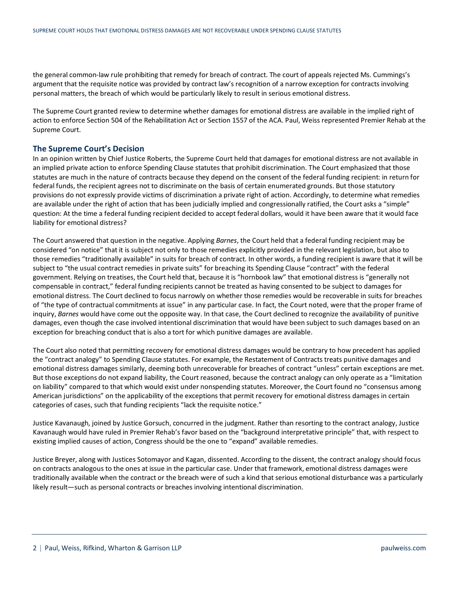the general common-law rule prohibiting that remedy for breach of contract. The court of appeals rejected Ms. Cummings's argument that the requisite notice was provided by contract law's recognition of a narrow exception for contracts involving personal matters, the breach of which would be particularly likely to result in serious emotional distress.

The Supreme Court granted review to determine whether damages for emotional distress are available in the implied right of action to enforce Section 504 of the Rehabilitation Act or Section 1557 of the ACA. Paul, Weiss represented Premier Rehab at the Supreme Court.

#### **The Supreme Court's Decision**

In an opinion written by Chief Justice Roberts, the Supreme Court held that damages for emotional distress are not available in an implied private action to enforce Spending Clause statutes that prohibit discrimination. The Court emphasized that those statutes are much in the nature of contracts because they depend on the consent of the federal funding recipient: in return for federal funds, the recipient agrees not to discriminate on the basis of certain enumerated grounds. But those statutory provisions do not expressly provide victims of discrimination a private right of action. Accordingly, to determine what remedies are available under the right of action that has been judicially implied and congressionally ratified, the Court asks a "simple" question: At the time a federal funding recipient decided to accept federal dollars, would it have been aware that it would face liability for emotional distress?

The Court answered that question in the negative. Applying *Barnes*, the Court held that a federal funding recipient may be considered "on notice" that it is subject not only to those remedies explicitly provided in the relevant legislation, but also to those remedies "traditionally available" in suits for breach of contract. In other words, a funding recipient is aware that it will be subject to "the usual contract remedies in private suits" for breaching its Spending Clause "contract" with the federal government. Relying on treatises, the Court held that, because it is "hornbook law" that emotional distress is "generally not compensable in contract," federal funding recipients cannot be treated as having consented to be subject to damages for emotional distress. The Court declined to focus narrowly on whether those remedies would be recoverable in suits for breaches of "the type of contractual commitments at issue" in any particular case. In fact, the Court noted, were that the proper frame of inquiry, *Barnes* would have come out the opposite way. In that case, the Court declined to recognize the availability of punitive damages, even though the case involved intentional discrimination that would have been subject to such damages based on an exception for breaching conduct that is also a tort for which punitive damages are available.

The Court also noted that permitting recovery for emotional distress damages would be contrary to how precedent has applied the "contract analogy" to Spending Clause statutes. For example, the Restatement of Contracts treats punitive damages and emotional distress damages similarly, deeming both unrecoverable for breaches of contract "unless" certain exceptions are met. But those exceptions do not expand liability, the Court reasoned, because the contract analogy can only operate as a "limitation on liability" compared to that which would exist under nonspending statutes. Moreover, the Court found no "consensus among American jurisdictions" on the applicability of the exceptions that permit recovery for emotional distress damages in certain categories of cases, such that funding recipients "lack the requisite notice."

Justice Kavanaugh, joined by Justice Gorsuch, concurred in the judgment. Rather than resorting to the contract analogy, Justice Kavanaugh would have ruled in Premier Rehab's favor based on the "background interpretative principle" that, with respect to existing implied causes of action, Congress should be the one to "expand" available remedies.

Justice Breyer, along with Justices Sotomayor and Kagan, dissented. According to the dissent, the contract analogy should focus on contracts analogous to the ones at issue in the particular case. Under that framework, emotional distress damages were traditionally available when the contract or the breach were of such a kind that serious emotional disturbance was a particularly likely result—such as personal contracts or breaches involving intentional discrimination.